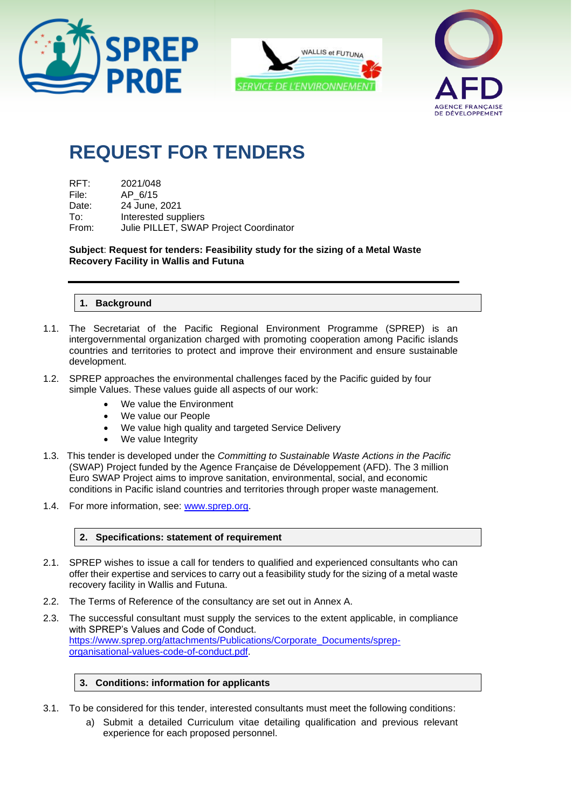





# **REQUEST FOR TENDERS**

| RFT:  | 2021/048                               |
|-------|----------------------------------------|
| File: | AP 6/15                                |
| Date: | 24 June, 2021                          |
| To:   | Interested suppliers                   |
| From: | Julie PILLET, SWAP Project Coordinator |

**Subject**: **Request for tenders: Feasibility study for the sizing of a Metal Waste Recovery Facility in Wallis and Futuna**

#### **1. Background**

- 1.1. The Secretariat of the Pacific Regional Environment Programme (SPREP) is an intergovernmental organization charged with promoting cooperation among Pacific islands countries and territories to protect and improve their environment and ensure sustainable development.
- 1.2. SPREP approaches the environmental challenges faced by the Pacific guided by four simple Values. These values guide all aspects of our work:
	- We value the Environment
	- We value our People
	- We value high quality and targeted Service Delivery
	- We value Integrity
- 1.3. This tender is developed under the *Committing to Sustainable Waste Actions in the Pacific* (SWAP) Project funded by the Agence Française de Développement (AFD). The 3 million Euro SWAP Project aims to improve sanitation, environmental, social, and economic conditions in Pacific island countries and territories through proper waste management.
- 1.4. For more information, see: [www.sprep.org.](http://www.sprep.org/)

#### **2. Specifications: statement of requirement**

- 2.1. SPREP wishes to issue a call for tenders to qualified and experienced consultants who can offer their expertise and services to carry out a feasibility study for the sizing of a metal waste recovery facility in Wallis and Futuna.
- 2.2. The Terms of Reference of the consultancy are set out in Annex A.
- 2.3. The successful consultant must supply the services to the extent applicable, in compliance with SPREP's Values and Code of Conduct. [https://www.sprep.org/attachments/Publications/Corporate\\_Documents/sprep](https://www.sprep.org/attachments/Publications/Corporate_Documents/sprep-organisational-values-code-of-conduct.pdf)[organisational-values-code-of-conduct.pdf.](https://www.sprep.org/attachments/Publications/Corporate_Documents/sprep-organisational-values-code-of-conduct.pdf)

#### **3. Conditions: information for applicants**

- 3.1. To be considered for this tender, interested consultants must meet the following conditions:
	- a) Submit a detailed Curriculum vitae detailing qualification and previous relevant experience for each proposed personnel.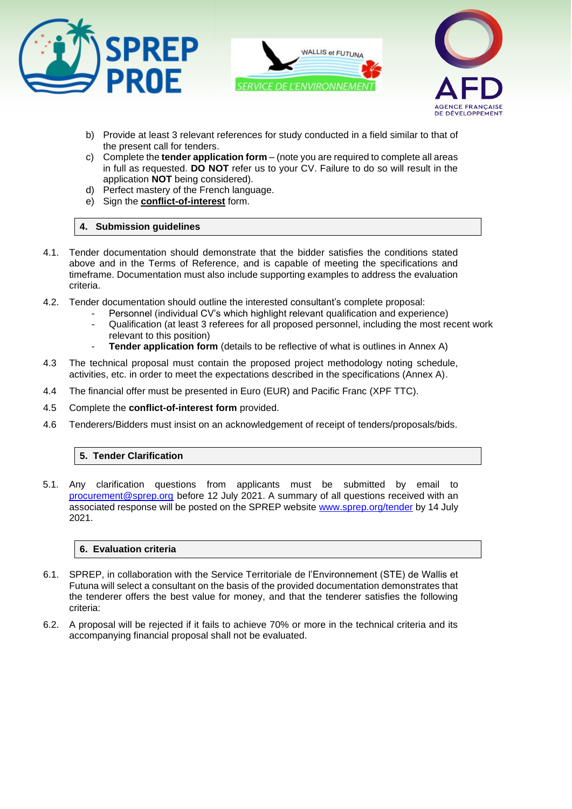





- b) Provide at least 3 relevant references for study conducted in a field similar to that of the present call for tenders.
- c) Complete the **tender application form** (note you are required to complete all areas in full as requested. **DO NOT** refer us to your CV. Failure to do so will result in the application **NOT** being considered).
- d) Perfect mastery of the French language.
- e) Sign the **conflict-of-interest** form.

#### **4. Submission guidelines**

- 4.1. Tender documentation should demonstrate that the bidder satisfies the conditions stated above and in the Terms of Reference, and is capable of meeting the specifications and timeframe. Documentation must also include supporting examples to address the evaluation criteria.
- 4.2. Tender documentation should outline the interested consultant's complete proposal:
	- Personnel (individual CV's which highlight relevant qualification and experience)
		- Qualification (at least 3 referees for all proposed personnel, including the most recent work relevant to this position)
		- **Tender application form** (details to be reflective of what is outlines in Annex A)
- 4.3 The technical proposal must contain the proposed project methodology noting schedule, activities, etc. in order to meet the expectations described in the specifications (Annex A).
- 4.4 The financial offer must be presented in Euro (EUR) and Pacific Franc (XPF TTC).
- 4.5 Complete the **conflict-of-interest form** provided.
- 4.6 Tenderers/Bidders must insist on an acknowledgement of receipt of tenders/proposals/bids.

#### **5. Tender Clarification**

5.1. Any clarification questions from applicants must be submitted by email to [procurement@sprep.org](mailto:procurement@sprep.org) before 12 July 2021. A summary of all questions received with an associated response will be posted on the SPREP website [www.sprep.org/tender](http://www.sprep.org/tender) by 14 July 2021.

#### **6. Evaluation criteria**

- 6.1. SPREP, in collaboration with the Service Territoriale de l'Environnement (STE) de Wallis et Futuna will select a consultant on the basis of the provided documentation demonstrates that the tenderer offers the best value for money, and that the tenderer satisfies the following criteria:
- 6.2. A proposal will be rejected if it fails to achieve 70% or more in the technical criteria and its accompanying financial proposal shall not be evaluated.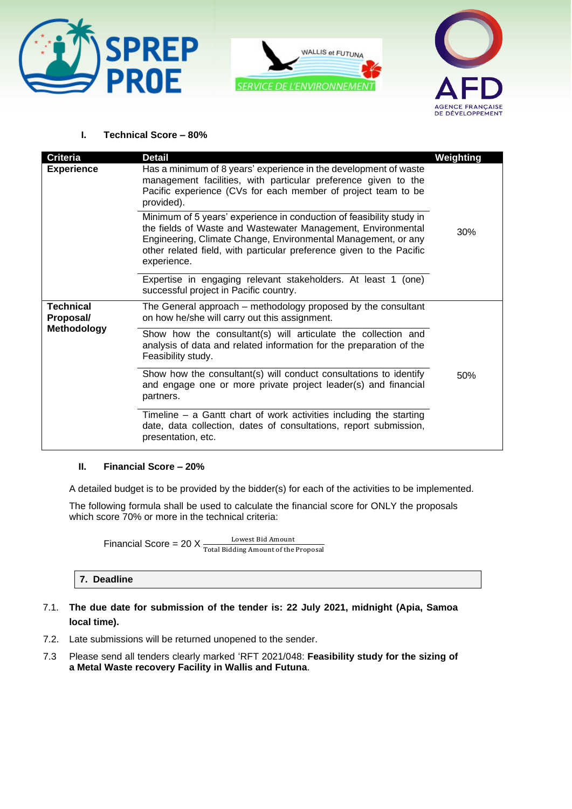





#### **I. Technical Score – 80%**

| Criteria                                     | <b>Detail</b>                                                                                                                                                                                                                                                                                | Weighting |
|----------------------------------------------|----------------------------------------------------------------------------------------------------------------------------------------------------------------------------------------------------------------------------------------------------------------------------------------------|-----------|
| <b>Experience</b>                            | Has a minimum of 8 years' experience in the development of waste<br>management facilities, with particular preference given to the<br>Pacific experience (CVs for each member of project team to be<br>provided).                                                                            |           |
|                                              | Minimum of 5 years' experience in conduction of feasibility study in<br>the fields of Waste and Wastewater Management, Environmental<br>Engineering, Climate Change, Environmental Management, or any<br>other related field, with particular preference given to the Pacific<br>experience. | 30%       |
|                                              | Expertise in engaging relevant stakeholders. At least 1 (one)<br>successful project in Pacific country.                                                                                                                                                                                      |           |
| <b>Technical</b><br>Proposal/<br>Methodology | The General approach – methodology proposed by the consultant<br>on how he/she will carry out this assignment.                                                                                                                                                                               |           |
|                                              | Show how the consultant(s) will articulate the collection and<br>analysis of data and related information for the preparation of the<br>Feasibility study.                                                                                                                                   |           |
|                                              | Show how the consultant(s) will conduct consultations to identify<br>and engage one or more private project leader(s) and financial<br>partners.                                                                                                                                             | 50%       |
|                                              | Timeline $-$ a Gantt chart of work activities including the starting<br>date, data collection, dates of consultations, report submission,<br>presentation, etc.                                                                                                                              |           |

#### **II. Financial Score – 20%**

A detailed budget is to be provided by the bidder(s) for each of the activities to be implemented.

The following formula shall be used to calculate the financial score for ONLY the proposals which score 70% or more in the technical criteria:

Financial Score = 20  $X \frac{Lower Bid Amount}{Total Bidding Amount of the Proposal}$ 

#### **7. Deadline**

- 7.1. **The due date for submission of the tender is: 22 July 2021, midnight (Apia, Samoa local time).**
- 7.2. Late submissions will be returned unopened to the sender.
- 7.3 Please send all tenders clearly marked 'RFT 2021/048: **Feasibility study for the sizing of a Metal Waste recovery Facility in Wallis and Futuna**.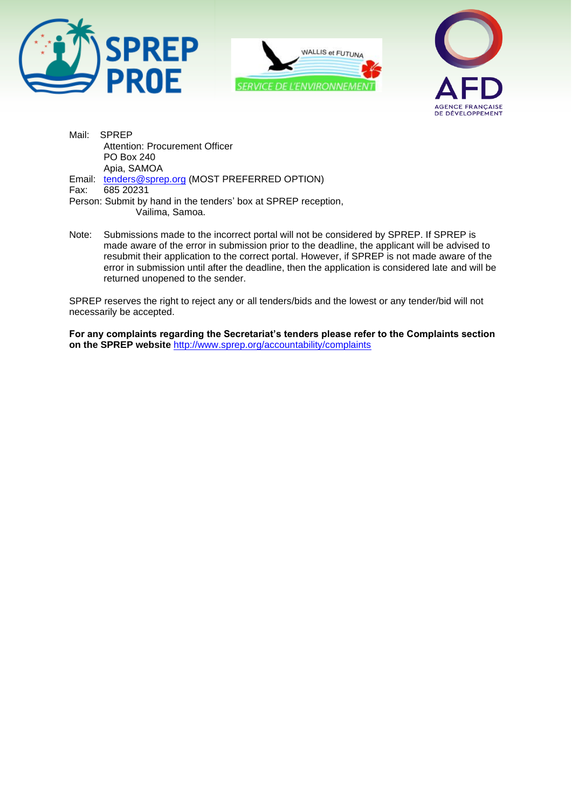





Mail: SPREP Attention: Procurement Officer PO Box 240 Apia, SAMOA Email: [tenders@sprep.org](mailto:tenders@sprep.org) (MOST PREFERRED OPTION)<br>Fax: 685 20231 Fax: 685 20231 Person: Submit by hand in the tenders' box at SPREP reception, Vailima, Samoa.

Note: Submissions made to the incorrect portal will not be considered by SPREP. If SPREP is made aware of the error in submission prior to the deadline, the applicant will be advised to resubmit their application to the correct portal. However, if SPREP is not made aware of the error in submission until after the deadline, then the application is considered late and will be returned unopened to the sender.

SPREP reserves the right to reject any or all tenders/bids and the lowest or any tender/bid will not necessarily be accepted.

**For any complaints regarding the Secretariat's tenders please refer to the Complaints section on the SPREP website** <http://www.sprep.org/accountability/complaints>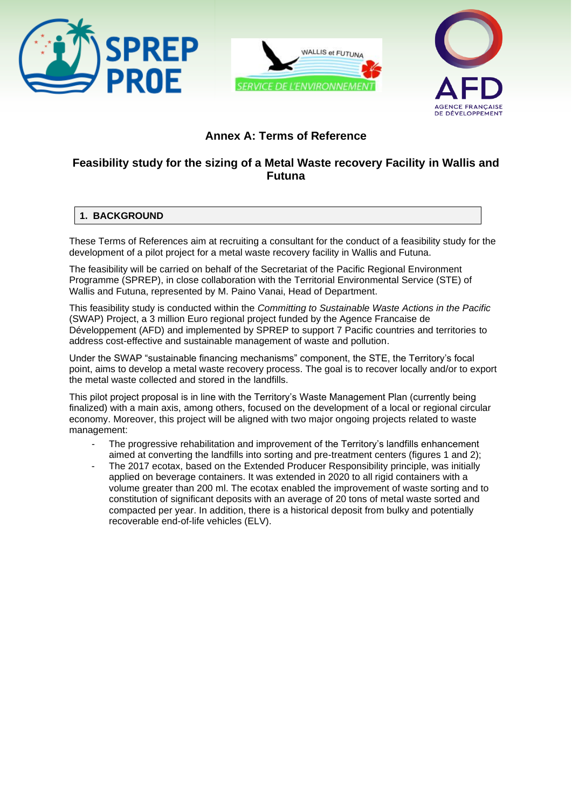





# **Annex A: Terms of Reference**

# **Feasibility study for the sizing of a Metal Waste recovery Facility in Wallis and Futuna**

# **1. BACKGROUND**

These Terms of References aim at recruiting a consultant for the conduct of a feasibility study for the development of a pilot project for a metal waste recovery facility in Wallis and Futuna.

The feasibility will be carried on behalf of the Secretariat of the Pacific Regional Environment Programme (SPREP), in close collaboration with the Territorial Environmental Service (STE) of Wallis and Futuna, represented by M. Paino Vanai, Head of Department.

This feasibility study is conducted within the *Committing to Sustainable Waste Actions in the Pacific* (SWAP) Project, a 3 million Euro regional project funded by the Agence Francaise de Développement (AFD) and implemented by SPREP to support 7 Pacific countries and territories to address cost-effective and sustainable management of waste and pollution.

Under the SWAP "sustainable financing mechanisms" component, the STE, the Territory's focal point, aims to develop a metal waste recovery process. The goal is to recover locally and/or to export the metal waste collected and stored in the landfills.

This pilot project proposal is in line with the Territory's Waste Management Plan (currently being finalized) with a main axis, among others, focused on the development of a local or regional circular economy. Moreover, this project will be aligned with two major ongoing projects related to waste management:

- The progressive rehabilitation and improvement of the Territory's landfills enhancement aimed at converting the landfills into sorting and pre-treatment centers (figures 1 and 2);
- The 2017 ecotax, based on the Extended Producer Responsibility principle, was initially applied on beverage containers. It was extended in 2020 to all rigid containers with a volume greater than 200 ml. The ecotax enabled the improvement of waste sorting and to constitution of significant deposits with an average of 20 tons of metal waste sorted and compacted per year. In addition, there is a historical deposit from bulky and potentially recoverable end-of-life vehicles (ELV).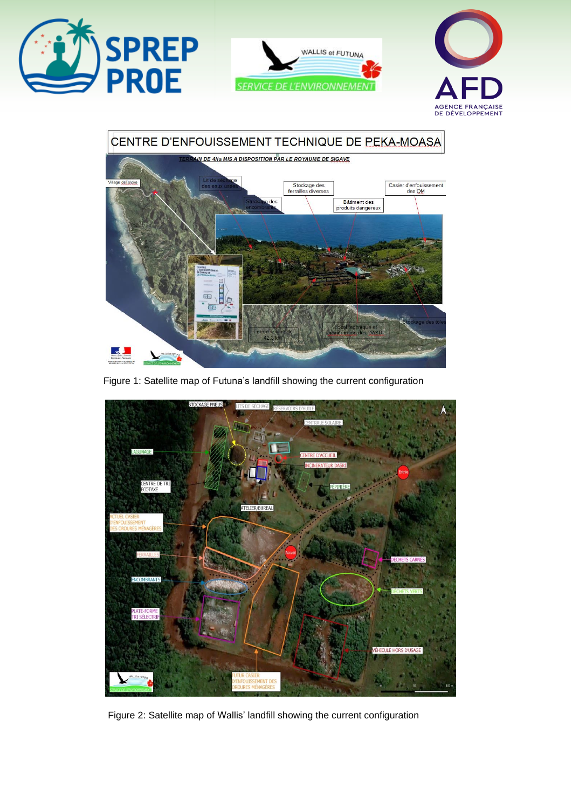







Figure 1: Satellite map of Futuna's landfill showing the current configuration



Figure 2: Satellite map of Wallis' landfill showing the current configuration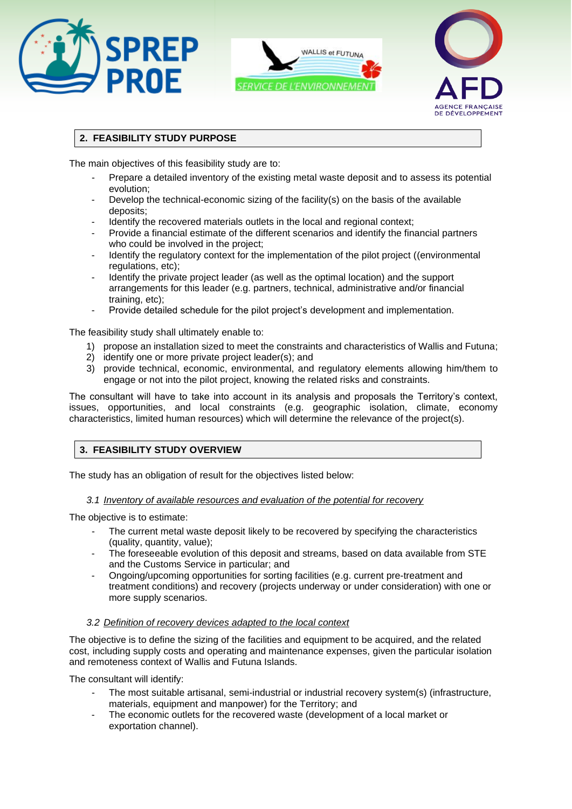





# **2. FEASIBILITY STUDY PURPOSE**

The main objectives of this feasibility study are to:

- Prepare a detailed inventory of the existing metal waste deposit and to assess its potential evolution;
- Develop the technical-economic sizing of the facility(s) on the basis of the available deposits;
- Identify the recovered materials outlets in the local and regional context;
- Provide a financial estimate of the different scenarios and identify the financial partners who could be involved in the project;
- Identify the regulatory context for the implementation of the pilot project ((environmental regulations, etc);
- Identify the private project leader (as well as the optimal location) and the support arrangements for this leader (e.g. partners, technical, administrative and/or financial training, etc);
- Provide detailed schedule for the pilot project's development and implementation.

The feasibility study shall ultimately enable to:

- 1) propose an installation sized to meet the constraints and characteristics of Wallis and Futuna;
- 2) identify one or more private project leader(s); and
- 3) provide technical, economic, environmental, and regulatory elements allowing him/them to engage or not into the pilot project, knowing the related risks and constraints.

The consultant will have to take into account in its analysis and proposals the Territory's context, issues, opportunities, and local constraints (e.g. geographic isolation, climate, economy characteristics, limited human resources) which will determine the relevance of the project(s).

# **3. FEASIBILITY STUDY OVERVIEW**

The study has an obligation of result for the objectives listed below:

#### *3.1 Inventory of available resources and evaluation of the potential for recovery*

The objective is to estimate:

- The current metal waste deposit likely to be recovered by specifying the characteristics (quality, quantity, value);
- The foreseeable evolution of this deposit and streams, based on data available from STE and the Customs Service in particular; and
- Ongoing/upcoming opportunities for sorting facilities (e.g. current pre-treatment and treatment conditions) and recovery (projects underway or under consideration) with one or more supply scenarios.

#### *3.2 Definition of recovery devices adapted to the local context*

The objective is to define the sizing of the facilities and equipment to be acquired, and the related cost, including supply costs and operating and maintenance expenses, given the particular isolation and remoteness context of Wallis and Futuna Islands.

The consultant will identify:

- The most suitable artisanal, semi-industrial or industrial recovery system(s) (infrastructure, materials, equipment and manpower) for the Territory; and
- The economic outlets for the recovered waste (development of a local market or exportation channel).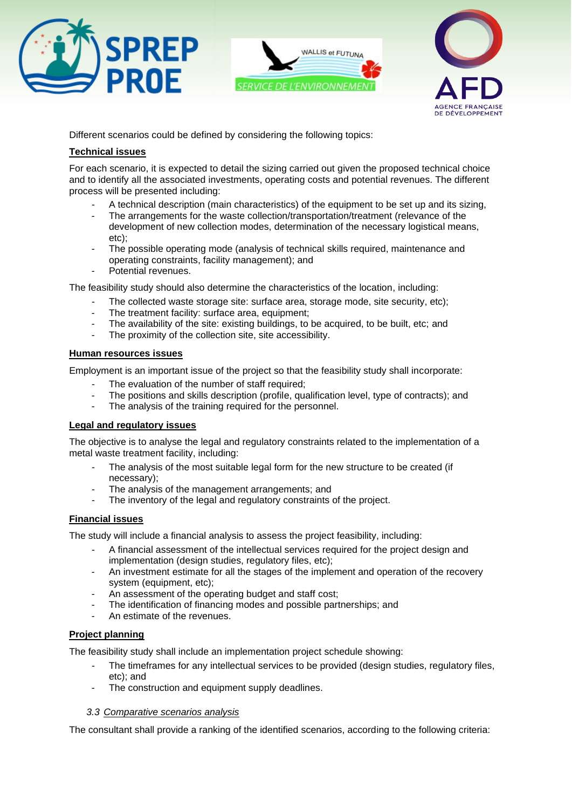





Different scenarios could be defined by considering the following topics:

#### **Technical issues**

For each scenario, it is expected to detail the sizing carried out given the proposed technical choice and to identify all the associated investments, operating costs and potential revenues. The different process will be presented including:

- A technical description (main characteristics) of the equipment to be set up and its sizing,
- The arrangements for the waste collection/transportation/treatment (relevance of the development of new collection modes, determination of the necessary logistical means, etc);
- The possible operating mode (analysis of technical skills required, maintenance and operating constraints, facility management); and
- Potential revenues.

The feasibility study should also determine the characteristics of the location, including:

- The collected waste storage site: surface area, storage mode, site security, etc);
- The treatment facility: surface area, equipment:
- The availability of the site: existing buildings, to be acquired, to be built, etc; and
- The proximity of the collection site, site accessibility.

#### **Human resources issues**

Employment is an important issue of the project so that the feasibility study shall incorporate:

- The evaluation of the number of staff required;
- The positions and skills description (profile, qualification level, type of contracts); and
- The analysis of the training required for the personnel.

# **Legal and regulatory issues**

The objective is to analyse the legal and regulatory constraints related to the implementation of a metal waste treatment facility, including:

- The analysis of the most suitable legal form for the new structure to be created (if necessary);
- The analysis of the management arrangements; and
- The inventory of the legal and regulatory constraints of the project.

# **Financial issues**

The study will include a financial analysis to assess the project feasibility, including:

- A financial assessment of the intellectual services required for the project design and implementation (design studies, regulatory files, etc);
- An investment estimate for all the stages of the implement and operation of the recovery system (equipment, etc);
- An assessment of the operating budget and staff cost;
- The identification of financing modes and possible partnerships; and
- An estimate of the revenues.

# **Project planning**

The feasibility study shall include an implementation project schedule showing:

- The timeframes for any intellectual services to be provided (design studies, regulatory files, etc); and
- The construction and equipment supply deadlines.

# *3.3 Comparative scenarios analysis*

The consultant shall provide a ranking of the identified scenarios, according to the following criteria: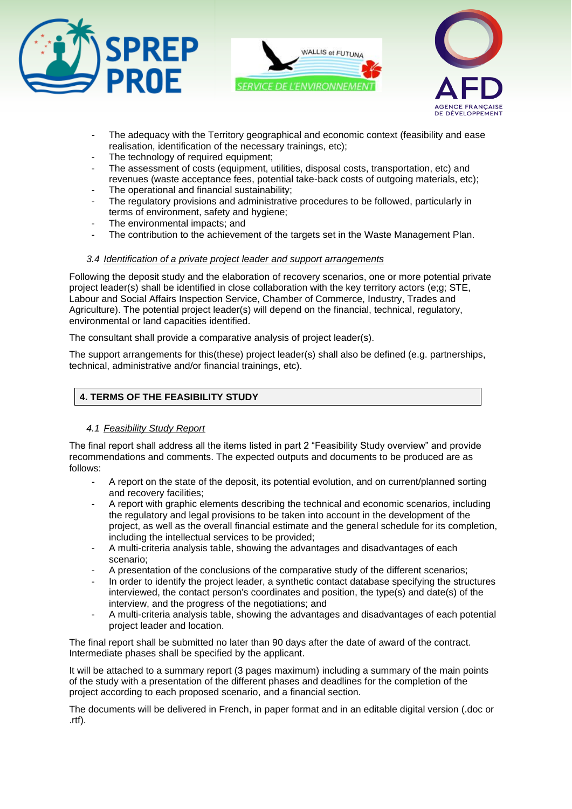





- The adequacy with the Territory geographical and economic context (feasibility and ease realisation, identification of the necessary trainings, etc);
- The technology of required equipment;
- The assessment of costs (equipment, utilities, disposal costs, transportation, etc) and revenues (waste acceptance fees, potential take-back costs of outgoing materials, etc);
- The operational and financial sustainability;
- The regulatory provisions and administrative procedures to be followed, particularly in terms of environment, safety and hygiene;
- The environmental impacts; and
- The contribution to the achievement of the targets set in the Waste Management Plan.

# *3.4 Identification of a private project leader and support arrangements*

Following the deposit study and the elaboration of recovery scenarios, one or more potential private project leader(s) shall be identified in close collaboration with the key territory actors (e;g; STE, Labour and Social Affairs Inspection Service, Chamber of Commerce, Industry, Trades and Agriculture). The potential project leader(s) will depend on the financial, technical, regulatory, environmental or land capacities identified.

The consultant shall provide a comparative analysis of project leader(s).

The support arrangements for this(these) project leader(s) shall also be defined (e.g. partnerships, technical, administrative and/or financial trainings, etc).

# **4. TERMS OF THE FEASIBILITY STUDY**

# *4.1 Feasibility Study Report*

The final report shall address all the items listed in part 2 "Feasibility Study overview" and provide recommendations and comments. The expected outputs and documents to be produced are as follows:

- A report on the state of the deposit, its potential evolution, and on current/planned sorting and recovery facilities;
- A report with graphic elements describing the technical and economic scenarios, including the regulatory and legal provisions to be taken into account in the development of the project, as well as the overall financial estimate and the general schedule for its completion, including the intellectual services to be provided;
- A multi-criteria analysis table, showing the advantages and disadvantages of each scenario;
- A presentation of the conclusions of the comparative study of the different scenarios;
- In order to identify the project leader, a synthetic contact database specifying the structures interviewed, the contact person's coordinates and position, the type(s) and date(s) of the interview, and the progress of the negotiations; and
- A multi-criteria analysis table, showing the advantages and disadvantages of each potential project leader and location.

The final report shall be submitted no later than 90 days after the date of award of the contract. Intermediate phases shall be specified by the applicant.

It will be attached to a summary report (3 pages maximum) including a summary of the main points of the study with a presentation of the different phases and deadlines for the completion of the project according to each proposed scenario, and a financial section.

The documents will be delivered in French, in paper format and in an editable digital version (.doc or .rtf).